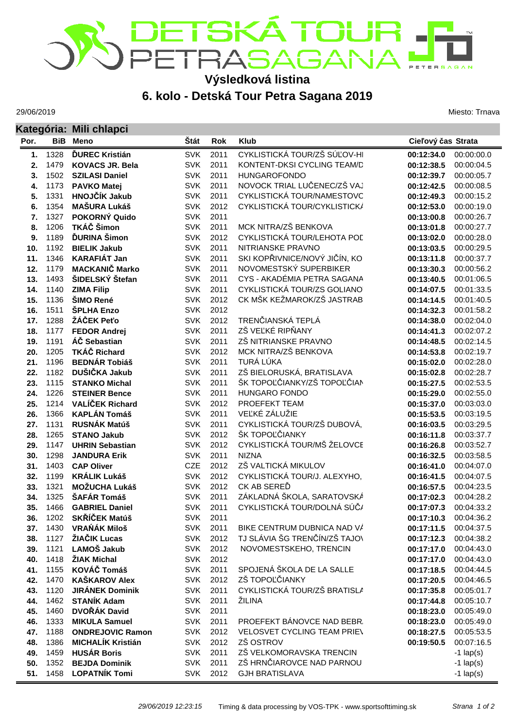## ET**SKÁ TOUR**<br>ETRASAGANA ERSAGAN **Výsledková listina**

## **6. kolo - Detská Tour Petra Sagana 2019**

29/06/2019

**Kategória: Mili chlapci**

Miesto: Trnava

| Kategoria: Mill chiapci |              |                                                |                          |              |                               |                          |                          |  |
|-------------------------|--------------|------------------------------------------------|--------------------------|--------------|-------------------------------|--------------------------|--------------------------|--|
| Por.                    |              | <b>BiB</b> Meno                                | <b>Stát</b>              | Rok          | <b>Klub</b>                   | Cieľový čas Strata       |                          |  |
| 1.                      | 1328         | <b>ĎUREC Kristián</b>                          | <b>SVK</b>               | 2011         | CYKLISTICKÁ TOUR/ZŠ SÚĽOV-HI  | 00:12:34.0               | 00:00:00.0               |  |
| 2.                      | 1479         | <b>KOVACS JR. Bela</b>                         | <b>SVK</b>               | 2011         | KONTENT-DKSI CYCLING TEAM/D   | 00:12:38.5               | 00:00:04.5               |  |
| 3.                      | 1502         | <b>SZILASI Daniel</b>                          | <b>SVK</b>               | 2011         | <b>HUNGAROFONDO</b>           | 00:12:39.7               | 00:00:05.7               |  |
| 4.                      | 1173         | <b>PAVKO Matej</b>                             | <b>SVK</b>               | 2011         | NOVOCK TRIAL LUČENEC/ZŠ VAJ   | 00:12:42.5               | 00:00:08.5               |  |
| 5.                      | 1331         | HNOJČÍK Jakub                                  | <b>SVK</b>               | 2011         | CYKLISTICKÁ TOUR/NAMESTOVC    | 00:12:49.3               | 00:00:15.2               |  |
| 6.                      | 1354         | <b>MAŠURA Lukáš</b>                            | <b>SVK</b>               | 2012         | CYKLISTICKÁ TOUR/CYKLISTICKÁ  | 00:12:53.0               | 00:00:19.0               |  |
| 7.                      | 1327         | POKORNÝ Quido                                  | <b>SVK</b>               | 2011         |                               | 00:13:00.8               | 00:00:26.7               |  |
| 8.                      | 1206         | TKÁČ Šimon                                     | <b>SVK</b>               | 2011         | MCK NITRA/ZŠ BENKOVA          | 00:13:01.8               | 00:00:27.7               |  |
| 9.                      | 1189         | <b>ĎURINA</b> Šimon                            | <b>SVK</b>               | 2012         | CYKLISTICKÁ TOUR/LEHOTA POL   | 00:13:02.0               | 00:00:28.0               |  |
| 10.                     | 1192         | <b>BIELIK Jakub</b>                            | <b>SVK</b>               | 2011         | NITRIANSKE PRAVNO             | 00:13:03.5               | 00:00:29.5               |  |
| 11.                     | 1346         | <b>KARAFIÁT Jan</b>                            | <b>SVK</b>               | 2011         | SKI KOPŘIVNICE/NOVÝ JIČÍN, KO | 00:13:11.8               | 00:00:37.7               |  |
| 12.                     | 1179         | <b>MACKANIČ Marko</b>                          | <b>SVK</b>               | 2011         | NOVOMESTSKÝ SUPERBIKER        | 00:13:30.3               | 00:00:56.2               |  |
| 13.                     | 1493         | ŠIDELSKÝ Štefan                                | <b>SVK</b>               | 2011         | CYS - AKADÉMIA PETRA SAGANA   | 00:13:40.5               | 00:01:06.5               |  |
| 14.                     | 1140         | <b>ZIMA Filip</b>                              | <b>SVK</b>               | 2011         | CYKLISTICKÁ TOUR/ZS GOLIANO   | 00:14:07.5               | 00:01:33.5               |  |
| 15.                     | 1136         | ŠIMO René                                      | <b>SVK</b>               | 2012         | CK MŠK KEŽMAROK/ZŠ JASTRAB    | 00:14:14.5               | 00:01:40.5               |  |
| 16.                     | 1511         | ŠPLHA Enzo                                     | <b>SVK</b>               | 2012         |                               | 00:14:32.3               | 00:01:58.2               |  |
| 17.                     | 1288         | ŽÁČEK Peťo                                     | <b>SVK</b>               | 2012         | TRENČIANSKÁ TEPLÁ             | 00:14:38.0               | 00:02:04.0               |  |
| 18.                     | 1177         | <b>FEDOR Andrej</b>                            | <b>SVK</b>               | 2011         | ZŠ VEĽKÉ RIPŇANY              | 00:14:41.3               | 00:02:07.2               |  |
| 19.                     | 1191         | ÁČ Sebastian                                   | <b>SVK</b>               | 2011         | ZŠ NITRIANSKE PRAVNO          | 00:14:48.5               | 00:02:14.5               |  |
| 20.                     | 1205         | <b>TKÁČ Richard</b>                            | <b>SVK</b>               | 2012         | MCK NITRA/ZŠ BENKOVA          | 00:14:53.8               | 00:02:19.7               |  |
| 21.                     | 1196         | <b>BEDNÁR Tobiáš</b>                           | <b>SVK</b>               | 2011         | TURÁ LÚKA                     | 00:15:02.0               | 00:02:28.0               |  |
| 22.                     | 1182         | DUŠIČKA Jakub                                  | <b>SVK</b>               | 2011         | ZŠ BIELORUSKÁ, BRATISLAVA     | 00:15:02.8               | 00:02:28.7               |  |
| 23.                     | 1115         | <b>STANKO Michal</b>                           | <b>SVK</b>               | 2011         | ŠK TOPOĽČIANKY/ZŠ TOPOĽČIAN   | 00:15:27.5               | 00:02:53.5               |  |
| 24.                     | 1226         | <b>STEINER Bence</b>                           | <b>SVK</b>               | 2011         | <b>HUNGARO FONDO</b>          | 00:15:29.0               | 00:02:55.0               |  |
| 25.                     | 1214         | <b>VALÍČEK Richard</b>                         | <b>SVK</b>               | 2012         | PROEFEKT TEAM                 | 00:15:37.0               | 00:03:03.0               |  |
| 26.                     | 1366         | <b>KAPLÁN Tomáš</b>                            | <b>SVK</b>               | 2011         | VEĽKÉ ZÁLUŽIE                 | 00:15:53.5               | 00:03:19.5               |  |
| 27.                     | 1131         | <b>RUSNÁK Matúš</b>                            | <b>SVK</b>               | 2011         | CYKLISTICKÁ TOUR/ZŠ DUBOVÁ,   | 00:16:03.5               | 00:03:29.5               |  |
| 28.                     | 1265         | <b>STANO Jakub</b>                             | <b>SVK</b>               | 2012         | ŠK TOPOĽČIANKY                | 00:16:11.8               | 00:03:37.7               |  |
| 29.                     | 1147         | <b>UHRIN Sebastian</b>                         | <b>SVK</b>               | 2012         | CYKLISTICKÁ TOUR/MŠ ŽELOVCE   | 00:16:26.8               | 00:03:52.7               |  |
| 30.                     | 1298         | <b>JANDURA Erik</b>                            | <b>SVK</b>               | 2011         | <b>NIZNA</b>                  | 00:16:32.5               | 00:03:58.5               |  |
| 31.                     | 1403         | <b>CAP Oliver</b>                              | CZE                      | 2012         | ZŠ VALTICKÁ MIKULOV           | 00:16:41.0               | 00:04:07.0               |  |
| 32.                     | 1199         | <b>KRÁLIK Lukáš</b>                            | <b>SVK</b>               | 2012         | CYKLISTICKÁ TOUR/J. ALEXYHO,  | 00:16:41.5               | 00:04:07.5               |  |
| 33.                     | 1321         | <b>MOŽUCHA Lukáš</b>                           | <b>SVK</b>               | 2012         | CK AB SEREĎ                   | 00:16:57.5               | 00:04:23.5               |  |
| 34.                     | 1325         | ŠAFÁR Tomáš                                    | <b>SVK</b>               | 2011         | ZÁKLADNÁ ŠKOLA, SARATOVSKÁ    | 00:17:02.3               | 00:04:28.2               |  |
| 35.                     | 1466         | <b>GABRIEL Daniel</b>                          | <b>SVK</b>               | 2011         | CYKLISTICKÁ TOUR/DOLNÁ SÚČ/   | 00:17:07.3               | 00:04:33.2               |  |
| 36.                     | 1202         | SKŘÍČEK Matúš                                  | <b>SVK</b>               | 2011         |                               | 00:17:10.3               | 00:04:36.2               |  |
| 37.                     | 1430         | <b>VRAŃÁK Miloš</b>                            | <b>SVK</b>               | 2011         | BIKE CENTRUM DUBNICA NAD VÁ   | 00:17:11.5               | 00:04:37.5               |  |
| 38.                     | 1127         | ŽIAČIK Lucas                                   | <b>SVK</b>               | 2012         | TJ SLÁVIA ŠG TRENČÍN/ZŠ TAJOV | 00:17:12.3               | 00:04:38.2               |  |
| 39.                     | 1121         | LAMOŠ Jakub                                    | <b>SVK</b>               | 2012         | NOVOMESTSKEHO, TRENCIN        | 00:17:17.0               | 00:04:43.0               |  |
| 40.<br>41.              | 1418<br>1155 | ŽIAK Michal<br>KOVÁČ Tomáš                     | <b>SVK</b><br><b>SVK</b> | 2012<br>2011 | SPOJENÁ ŠKOLA DE LA SALLE     | 00:17:17.0               | 00:04:43.0<br>00:04:44.5 |  |
|                         |              |                                                |                          |              | ZŠ TOPOĽČIANKY                | 00:17:18.5               |                          |  |
| 42.<br>43.              | 1470<br>1120 | <b>KAŠKAROV Alex</b><br><b>JIRÁNEK Dominik</b> | <b>SVK</b><br><b>SVK</b> | 2012<br>2011 | CYKLISTICKÁ TOUR/ZŠ BRATISLA  | 00:17:20.5               | 00:04:46.5<br>00:05:01.7 |  |
|                         |              |                                                |                          |              |                               | 00:17:35.8               |                          |  |
| 44.<br>45.              | 1462<br>1460 | <b>STANÍK Adam</b><br>DVOŘÁK David             | <b>SVK</b><br><b>SVK</b> | 2011<br>2011 | ŽILINA                        | 00:17:44.8               | 00:05:10.7<br>00:05:49.0 |  |
| 46.                     | 1333         | <b>MIKULA Samuel</b>                           | <b>SVK</b>               | 2011         | PROEFEKT BÁNOVCE NAD BEBR.    | 00:18:23.0<br>00:18:23.0 | 00:05:49.0               |  |
| 47.                     | 1188         | <b>ONDREJOVIC Ramon</b>                        | <b>SVK</b>               | 2012         | VELOSVET CYCLING TEAM PRIEV   | 00:18:27.5               | 00:05:53.5               |  |
| 48.                     | 1386         | <b>MICHALÍK Kristián</b>                       | <b>SVK</b>               | 2012         | ZŠ OSTROV                     | 00:19:50.5               | 00:07:16.5               |  |
| 49.                     | 1459         | <b>HUSÁR Boris</b>                             | <b>SVK</b>               | 2011         | ZŠ VELKOMORAVSKA TRENCIN      |                          | $-1$ lap(s)              |  |
| 50.                     | 1352         | <b>BEJDA Dominik</b>                           | <b>SVK</b>               | 2011         | ZŠ HRNČIAROVCE NAD PARNOU     |                          | $-1$ lap(s)              |  |
| 51.                     | 1458         | <b>LOPATNÍK Tomi</b>                           | <b>SVK</b>               | 2012         | <b>GJH BRATISLAVA</b>         |                          |                          |  |
|                         |              |                                                |                          |              |                               |                          | $-1$ lap(s)              |  |